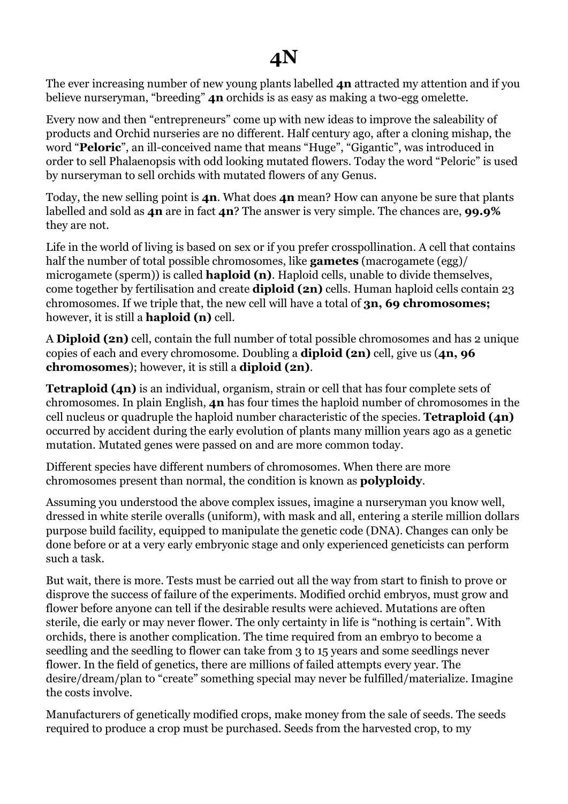## **4N**

The ever increasing number of new young plants labelled **4n** attracted my attention and if you believe nurseryman, "breeding" **4n** orchids is as easy as making a two-egg omelette.

Every now and then "entrepreneurs" come up with new ideas to improve the saleability of products and Orchid nurseries are no different. Half century ago, after a cloning mishap, the word "**Peloric**", an ill-conceived name that means "Huge", "Gigantic", was introduced in order to sell Phalaenopsis with odd looking mutated flowers. Today the word "Peloric" is used by nurseryman to sell orchids with mutated flowers of any Genus.

Today, the new selling point is **4n**. What does **4n** mean? How can anyone be sure that plants labelled and sold as **4n** are in fact **4n**? The answer is very simple. The chances are, **99.9%** they are not.

Life in the world of living is based on sex or if you prefer crosspollination. A cell that contains half the number of total possible chromosomes, like **gametes** (macrogamete (egg)/ microgamete (sperm)) is called **haploid (n)**. Haploid cells, unable to divide themselves, come together by fertilisation and create **diploid (2n)** cells. Human haploid cells contain 23 chromosomes. If we triple that, the new cell will have a total of **3n, 69 chromosomes;** however, it is still a **haploid (n)** cell.

A **Diploid (2n)** cell, contain the full number of total possible chromosomes and has 2 unique copies of each and every chromosome. Doubling a **diploid (2n)** cell, give us (**4n, 96 chromosomes**); however, it is still a **diploid (2n)**.

**Tetraploid (4n)** is an individual, organism, strain or cell that has four complete sets of chromosomes. In plain English, **4n** has four times the haploid number of chromosomes in the cell nucleus or quadruple the haploid number characteristic of the species. **Tetraploid (4n)** occurred by accident during the early evolution of plants many million years ago as a genetic mutation. Mutated genes were passed on and are more common today.

Different species have different numbers of chromosomes. When there are more chromosomes present than normal, the condition is known as **polyploidy**.

Assuming you understood the above complex issues, imagine a nurseryman you know well, dressed in white sterile overalls (uniform), with mask and all, entering a sterile million dollars purpose build facility, equipped to manipulate the genetic code (DNA). Changes can only be done before or at a very early embryonic stage and only experienced geneticists can perform such a task.

But wait, there is more. Tests must be carried out all the way from start to finish to prove or disprove the success of failure of the experiments. Modified orchid embryos, must grow and flower before anyone can tell if the desirable results were achieved. Mutations are often sterile, die early or may never flower. The only certainty in life is "nothing is certain". With orchids, there is another complication. The time required from an embryo to become a seedling and the seedling to flower can take from 3 to 15 years and some seedlings never flower. In the field of genetics, there are millions of failed attempts every year. The desire/dream/plan to "create" something special may never be fulfilled/materialize. Imagine the costs involve.

Manufacturers of genetically modified crops, make money from the sale of seeds. The seeds required to produce a crop must be purchased. Seeds from the harvested crop, to my